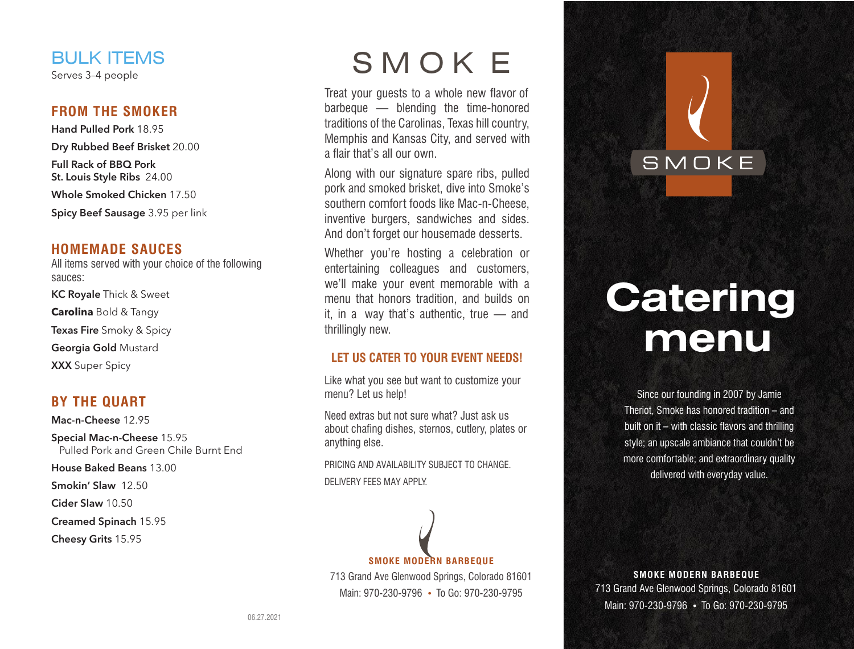# BULK ITEMS

Serves 3–4 people

#### **FROM THE SMOKER**

**Hand Pulled Pork** 18.95 **Dry Rubbed Beef Brisket** 20.00 **Full Rack of BBQ Pork St. Louis Style Ribs** 24.00 **Whole Smoked Chicken** 17.50 **Spicy Beef Sausage** 3.95 per link

#### **HOMEMADE SAUCES**

All items served with your choice of the following sauces: **KC Royale** Thick & Sweet **Carolina** Bold & Tangy **Texas Fire** Smoky & Spicy

**Georgia Gold** Mustard

**XXX** Super Spicy

## **BY THE QUART**

**Mac-n-Cheese** 12.95 **Special Mac-n-Cheese** 15.95 Pulled Pork and Green Chile Burnt End **House Baked Beans** 13.00 **Smokin' Slaw** 12.50 **Cider Slaw** 10.50

**Creamed Spinach** 15.95

**Cheesy Grits** 15.95

# SMOK E

Treat your guests to a whole new flavor of barbeque — blending the time-honored traditions of the Carolinas, Texas hill country, Memphis and Kansas City, and served with a flair that's all our own.

Along with our signature spare ribs, pulled pork and smoked brisket, dive into Smoke's southern comfort foods like Mac-n-Cheese, inventive burgers, sandwiches and sides. And don't forget our housemade desserts.

Whether you're hosting a celebration or entertaining colleagues and customers, we'll make your event memorable with a menu that honors tradition, and builds on it, in a way that's authentic, true — and thrillingly new.

#### **LET US CATER TO YOUR EVENT NEEDS!**

Like what you see but want to customize your menu? Let us help!

Need extras but not sure what? Just ask us about chafing dishes, sternos, cutlery, plates or anything else.

PRICING AND AVAILABILITY SUBJECT TO CHANGE. DELIVERY FEES MAY APPLY.

# **SMOKE MODERN BARBEQUE**

713 Grand Ave Glenwood Springs, Colorado 81601 Main: 970-230-9796 **•** To Go: 970-230-9795

# **Catering menu**

SMOKE

Since our founding in 2007 by Jamie Theriot, Smoke has honored tradition – and built on it – with classic flavors and thrilling style; an upscale ambiance that couldn't be more comfortable; and extraordinary quality delivered with everyday value.

**SMOKE MODERN BARBEQUE** 713 Grand Ave Glenwood Springs, Colorado 81601 Main: 970-230-9796 **•** To Go: 970-230-9795